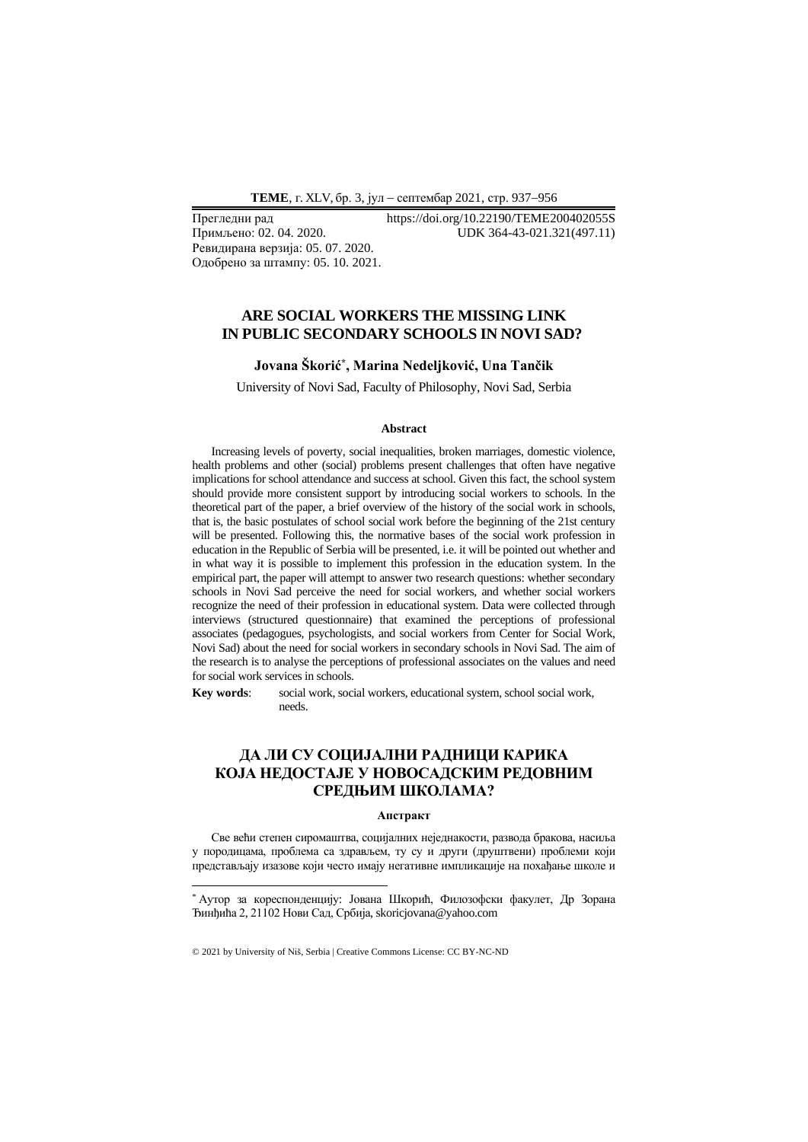**ТEME**, г. XLV, бр. 3, јул − септембар 2021, стр. 937−956

Ревидирана верзија: 05. 07. 2020. Одобрено за штампу: 05. 10. 2021.

Прегледни рад https://doi.org/10.22190/TEME200402055S Примљено: 02. 04. 2020. UDK 364-43-021.321(497.11)

### **ARE SOCIAL WORKERS THE MISSING LINK IN PUBLIC SECONDARY SCHOOLS IN NOVI SAD?**

### **Jovana Škorić\* , Marina Nedeljković, Una Tančik**

University of Novi Sad, Faculty of Philosophy, Novi Sad, Serbia

#### **Abstract**

Increasing levels of poverty, social inequalities, broken marriages, domestic violence, health problems and other (social) problems present challenges that often have negative implications for school attendance and success at school. Given this fact, the school system should provide more consistent support by introducing social workers to schools. In the theoretical part of the paper, a brief overview of the history of the social work in schools, that is, the basic postulates of school social work before the beginning of the 21st century will be presented. Following this, the normative bases of the social work profession in education in the Republic of Serbia will be presented, i.e. it will be pointed out whether and in what way it is possible to implement this profession in the education system. In the empirical part, the paper will attempt to answer two research questions: whether secondary schools in Novi Sad perceive the need for social workers, and whether social workers recognize the need of their profession in educational system. Data were collected through interviews (structured questionnaire) that examined the perceptions of professional associates (pedagogues, psychologists, and social workers from Center for Social Work, Novi Sad) about the need for social workers in secondary schools in Novi Sad. The aim of the research is to analyse the perceptions of professional associates on the values and need for social work services in schools.

**Key words**: social work, social workers, educational system, school social work, needs.

# **ДА ЛИ СУ СОЦИЈАЛНИ РАДНИЦИ КАРИКА КОЈА НЕДОСТАЈЕ У НОВОСАДСКИМ РЕДОВНИМ СРЕДЊИМ ШКОЛАМА?**

#### **Апстракт**

Све већи степен сиромаштва, социјалних неједнакости, развода бракова, насиља у породицама, проблема са здрављем, ту су и други (друштвени) проблеми који представљају изазове који често имају негативне импликације на похађање школе и

<sup>\*</sup> Аутор за кореспонденцију: Јована Шкорић, Филозофски факулет, Др Зорана Ђинђића 2, 21102 Нови Сад, Србија, skoricjovana@yahoo.com

<sup>© 2021</sup> by University of Niš, Serbia | Creative Commons License: CC BY-NC-ND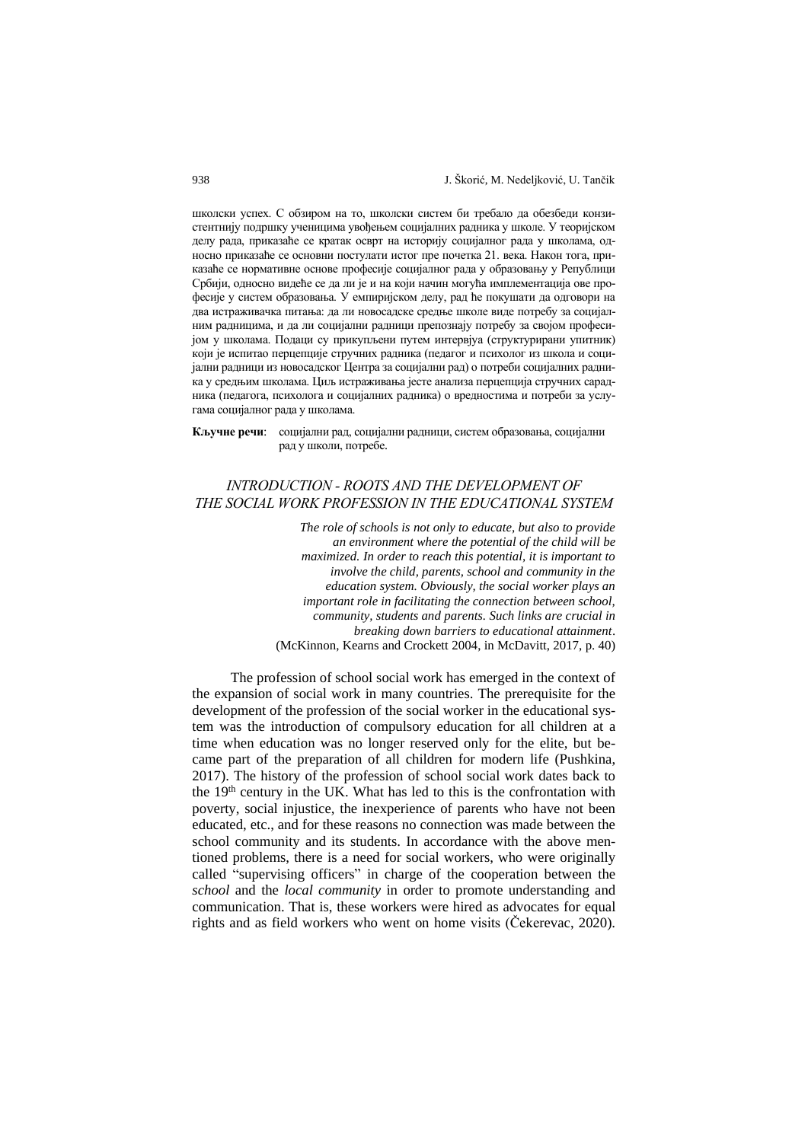школски успех. С обзиром на то, школски систем би требало да обезбеди конзистентнију подршку ученицима увођењем социјалних радника у школе. У теоријском делу рада, приказаће се кратак осврт на историју социјалног рада у школама, односно приказаће се основни постулати истог пре почетка 21. века. Након тога, приказаће се нормативне основе професије социјалног рада у образовању у Републици Србији, односно видеће се да ли је и на који начин могућа имплементација ове професије у систем образовања. У емпиријском делу, рад ће покушати да одговори на два истраживачка питања: да ли новосадске средње школе виде потребу за социјалним радницима, и да ли социјални радници препознају потребу за својом професијом у школама. Подаци су прикупљени путем интервјуа (структурирани упитник) који је испитао перцепције стручних радника (педагог и психолог из школа и социјални радници из новосадског Центра за социјални рад) о потреби социјалних радника у средњим школама. Циљ истраживања јесте анализа перцепција стручних сарадника (педагога, психолога и социјалних радника) о вредностима и потреби за услугама социјалног рада у школама.

**Кључне речи**: социјални рад, социјални радници, систем образовања, социјални рад у школи, потребе.

## *INTRODUCTION - ROOTS AND THE DEVELOPMENT OF THE SOCIAL WORK PROFESSION IN THE EDUCATIONAL SYSTEM*

*The role of schools is not only to educate, but also to provide an environment where the potential of the child will be maximized. In order to reach this potential, it is important to involve the child, parents, school and community in the education system. Obviously, the social worker plays an important role in facilitating the connection between school, community, students and parents. Such links are crucial in breaking down barriers to educational attainment*. (McKinnon, Kearns and Crockett 2004, in McDavitt, 2017, p. 40)

The profession of school social work has emerged in the context of the expansion of social work in many countries. The prerequisite for the development of the profession of the social worker in the educational system was the introduction of compulsory education for all children at a time when education was no longer reserved only for the elite, but became part of the preparation of all children for modern life (Pushkina, 2017). The history of the profession of school social work dates back to the 19<sup>th</sup> century in the UK. What has led to this is the confrontation with poverty, social injustice, the inexperience of parents who have not been educated, etc., and for these reasons no connection was made between the school community and its students. In accordance with the above mentioned problems, there is a need for social workers, who were originally called "supervising officers" in charge of the cooperation between the *school* and the *local community* in order to promote understanding and communication. That is, these workers were hired as advocates for equal rights and as field workers who went on home visits (Čekerevac, 2020).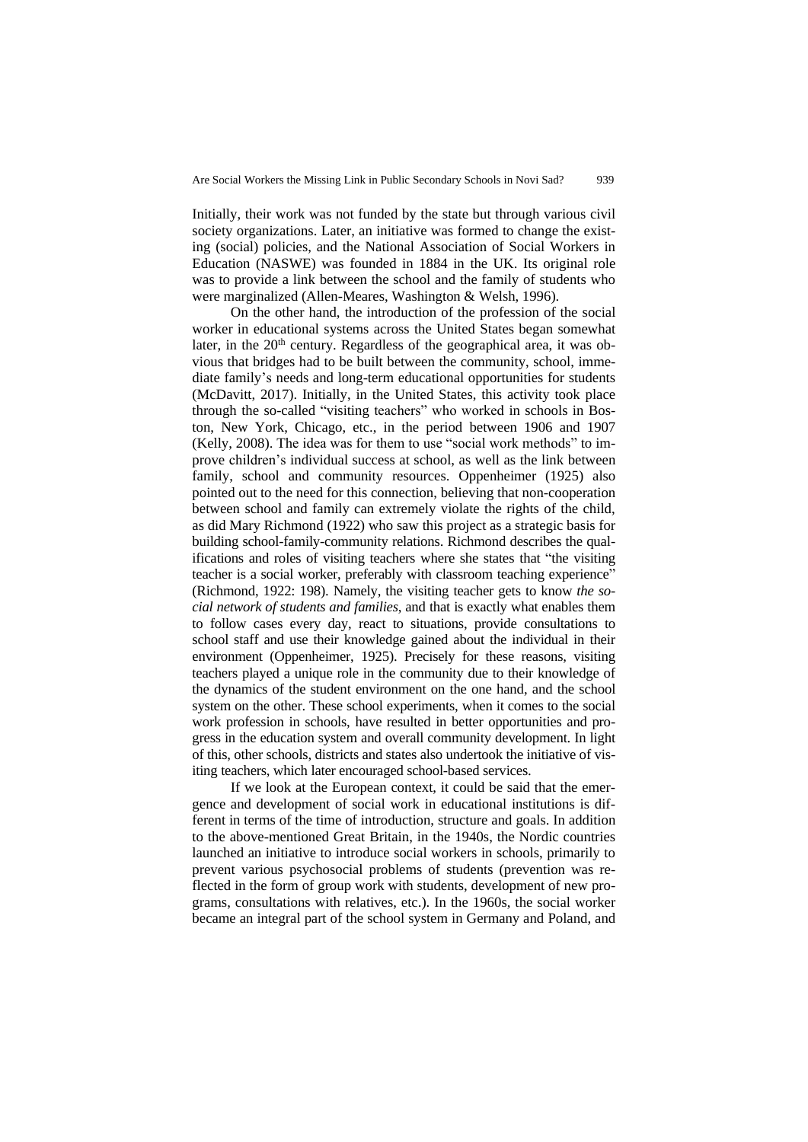Initially, their work was not funded by the state but through various civil society organizations. Later, an initiative was formed to change the existing (social) policies, and the National Association of Social Workers in Education (NASWE) was founded in 1884 in the UK. Its original role was to provide a link between the school and the family of students who were marginalized (Allen-Meares, Washington & Welsh, 1996).

On the other hand, the introduction of the profession of the social worker in educational systems across the United States began somewhat later, in the  $20<sup>th</sup>$  century. Regardless of the geographical area, it was obvious that bridges had to be built between the community, school, immediate family's needs and long-term educational opportunities for students (McDavitt, 2017). Initially, in the United States, this activity took place through the so-called "visiting teachers" who worked in schools in Boston, New York, Chicago, etc., in the period between 1906 and 1907 (Kelly, 2008). The idea was for them to use "social work methods" to improve children's individual success at school, as well as the link between family, school and community resources. Oppenheimer (1925) also pointed out to the need for this connection, believing that non-cooperation between school and family can extremely violate the rights of the child, as did Mary Richmond (1922) who saw this project as a strategic basis for building school-family-community relations. Richmond describes the qualifications and roles of visiting teachers where she states that "the visiting teacher is a social worker, preferably with classroom teaching experience" (Richmond, 1922: 198). Namely, the visiting teacher gets to know *the social network of students and families*, and that is exactly what enables them to follow cases every day, react to situations, provide consultations to school staff and use their knowledge gained about the individual in their environment (Oppenheimer, 1925). Precisely for these reasons, visiting teachers played a unique role in the community due to their knowledge of the dynamics of the student environment on the one hand, and the school system on the other. These school experiments, when it comes to the social work profession in schools, have resulted in better opportunities and progress in the education system and overall community development. In light of this, other schools, districts and states also undertook the initiative of visiting teachers, which later encouraged school-based services.

If we look at the European context, it could be said that the emergence and development of social work in educational institutions is different in terms of the time of introduction, structure and goals. In addition to the above-mentioned Great Britain, in the 1940s, the Nordic countries launched an initiative to introduce social workers in schools, primarily to prevent various psychosocial problems of students (prevention was reflected in the form of group work with students, development of new programs, consultations with relatives, etc.). In the 1960s, the social worker became an integral part of the school system in Germany and Poland, and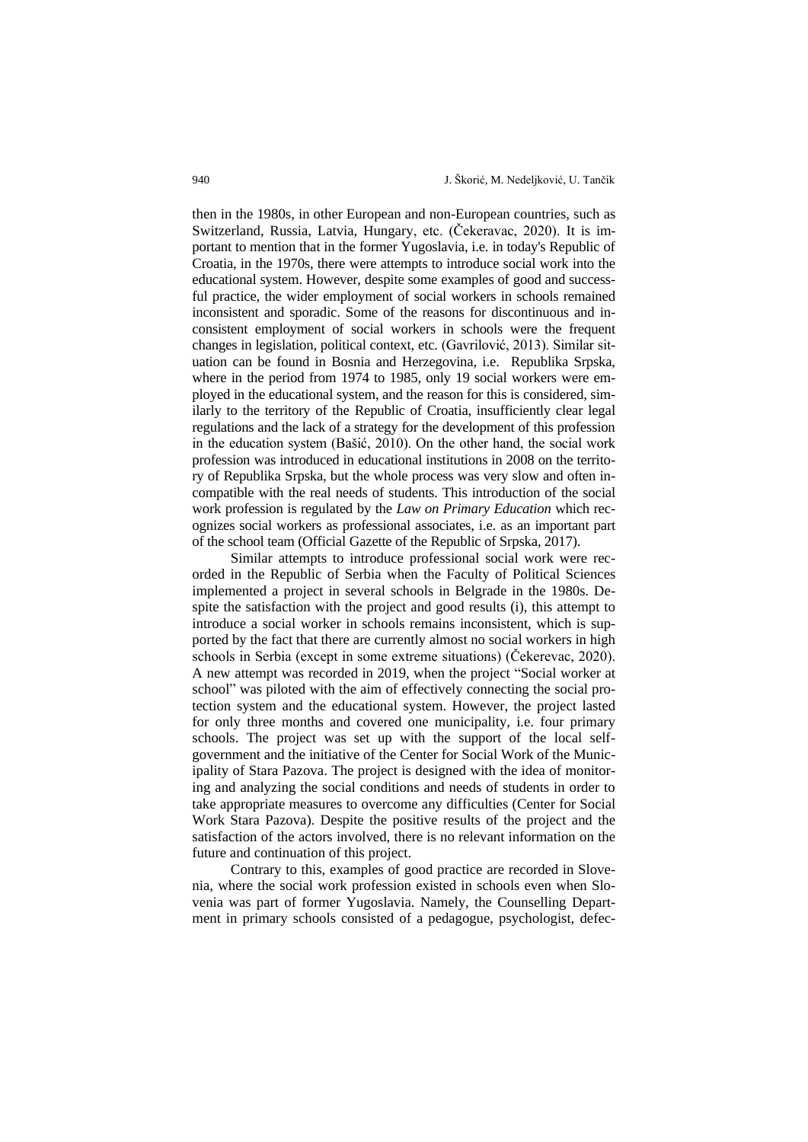then in the 1980s, in other European and non-European countries, such as Switzerland, Russia, Latvia, Hungary, etc. (Čekeravac, 2020). It is important to mention that in the former Yugoslavia, i.e. in today's Republic of Croatia, in the 1970s, there were attempts to introduce social work into the educational system. However, despite some examples of good and successful practice, the wider employment of social workers in schools remained inconsistent and sporadic. Some of the reasons for discontinuous and inconsistent employment of social workers in schools were the frequent changes in legislation, political context, etc. (Gavrilović, 2013). Similar situation can be found in Bosnia and Herzegovina, i.e. Republika Srpska, where in the period from 1974 to 1985, only 19 social workers were employed in the educational system, and the reason for this is considered, similarly to the territory of the Republic of Croatia, insufficiently clear legal regulations and the lack of a strategy for the development of this profession in the education system (Bašić, 2010). On the other hand, the social work profession was introduced in educational institutions in 2008 on the territory of Republika Srpska, but the whole process was very slow and often incompatible with the real needs of students. This introduction of the social work profession is regulated by the *Law on Primary Education* which recognizes social workers as professional associates, i.e. as an important part of the school team (Official Gazette of the Republic of Srpska, 2017).

Similar attempts to introduce professional social work were recorded in the Republic of Serbia when the Faculty of Political Sciences implemented a project in several schools in Belgrade in the 1980s. Despite the satisfaction with the project and good results (i), this attempt to introduce a social worker in schools remains inconsistent, which is supported by the fact that there are currently almost no social workers in high schools in Serbia (except in some extreme situations) (Čekerevac, 2020). A new attempt was recorded in 2019, when the project "Social worker at school" was piloted with the aim of effectively connecting the social protection system and the educational system. However, the project lasted for only three months and covered one municipality, i.e. four primary schools. The project was set up with the support of the local selfgovernment and the initiative of the Center for Social Work of the Municipality of Stara Pazova. The project is designed with the idea of monitoring and analyzing the social conditions and needs of students in order to take appropriate measures to overcome any difficulties (Center for Social Work Stara Pazova). Despite the positive results of the project and the satisfaction of the actors involved, there is no relevant information on the future and continuation of this project.

Contrary to this, examples of good practice are recorded in Slovenia, where the social work profession existed in schools even when Slovenia was part of former Yugoslavia. Namely, the Counselling Department in primary schools consisted of a pedagogue, psychologist, defec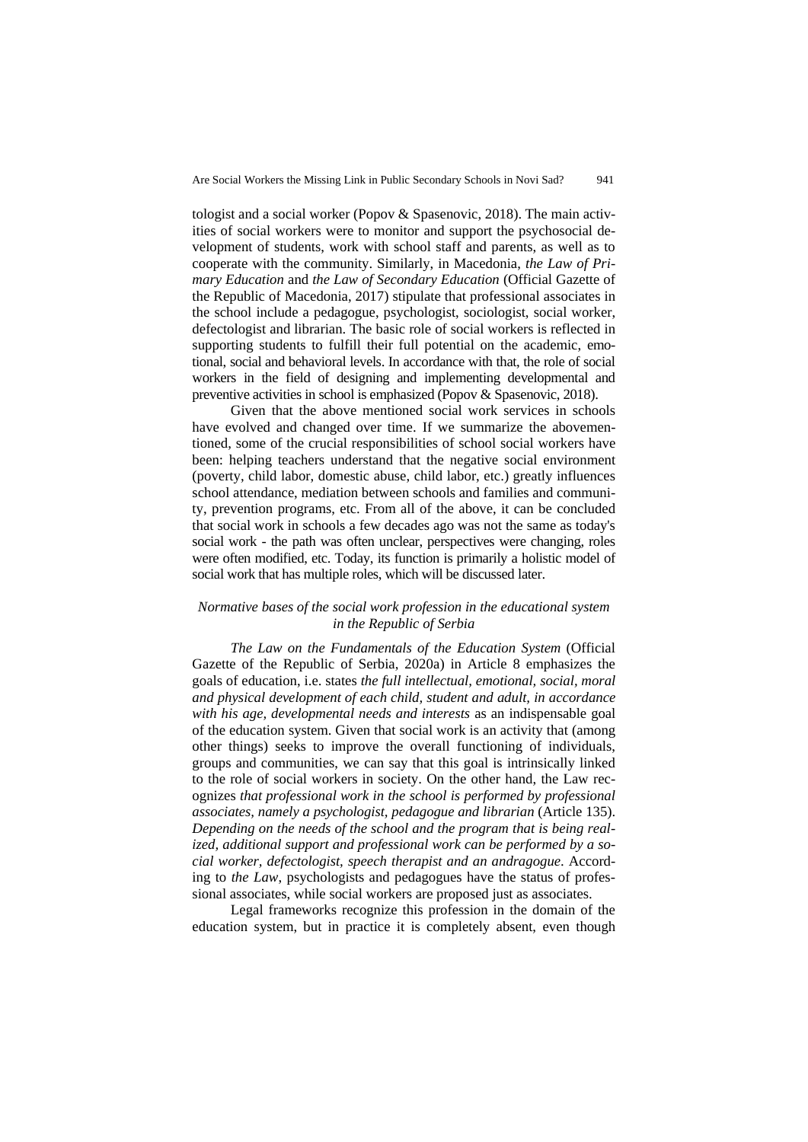tologist and a social worker (Popov & Spasenovic, 2018). The main activities of social workers were to monitor and support the psychosocial development of students, work with school staff and parents, as well as to cooperate with the community. Similarly, in Macedonia, *the Law of Primary Education* and *the Law of Secondary Education* (Official Gazette of the Republic of Macedonia, 2017) stipulate that professional associates in the school include a pedagogue, psychologist, sociologist, social worker, defectologist and librarian. The basic role of social workers is reflected in supporting students to fulfill their full potential on the academic, emotional, social and behavioral levels. In accordance with that, the role of social workers in the field of designing and implementing developmental and preventive activities in school is emphasized (Popov & Spasenovic, 2018).

Given that the above mentioned social work services in schools have evolved and changed over time. If we summarize the abovementioned, some of the crucial responsibilities of school social workers have been: helping teachers understand that the negative social environment (poverty, child labor, domestic abuse, child labor, etc.) greatly influences school attendance, mediation between schools and families and community, prevention programs, etc. From all of the above, it can be concluded that social work in schools a few decades ago was not the same as today's social work - the path was often unclear, perspectives were changing, roles were often modified, etc. Today, its function is primarily a holistic model of social work that has multiple roles, which will be discussed later.

### *Normative bases of the social work profession in the educational system in the Republic of Serbia*

*The Law on the Fundamentals of the Education System* (Official Gazette of the Republic of Serbia, 2020a) in Article 8 emphasizes the goals of education, i.e. states *the full intellectual, emotional, social, moral and physical development of each child, student and adult, in accordance with his age, developmental needs and interests* as an indispensable goal of the education system. Given that social work is an activity that (among other things) seeks to improve the overall functioning of individuals, groups and communities, we can say that this goal is intrinsically linked to the role of social workers in society. On the other hand, the Law recognizes *that professional work in the school is performed by professional associates, namely a psychologist, pedagogue and librarian* (Article 135). *Depending on the needs of the school and the program that is being realized, additional support and professional work can be performed by a social worker, defectologist, speech therapist and an andragogue*. According to *the Law*, psychologists and pedagogues have the status of professional associates, while social workers are proposed just as associates.

Legal frameworks recognize this profession in the domain of the education system, but in practice it is completely absent, even though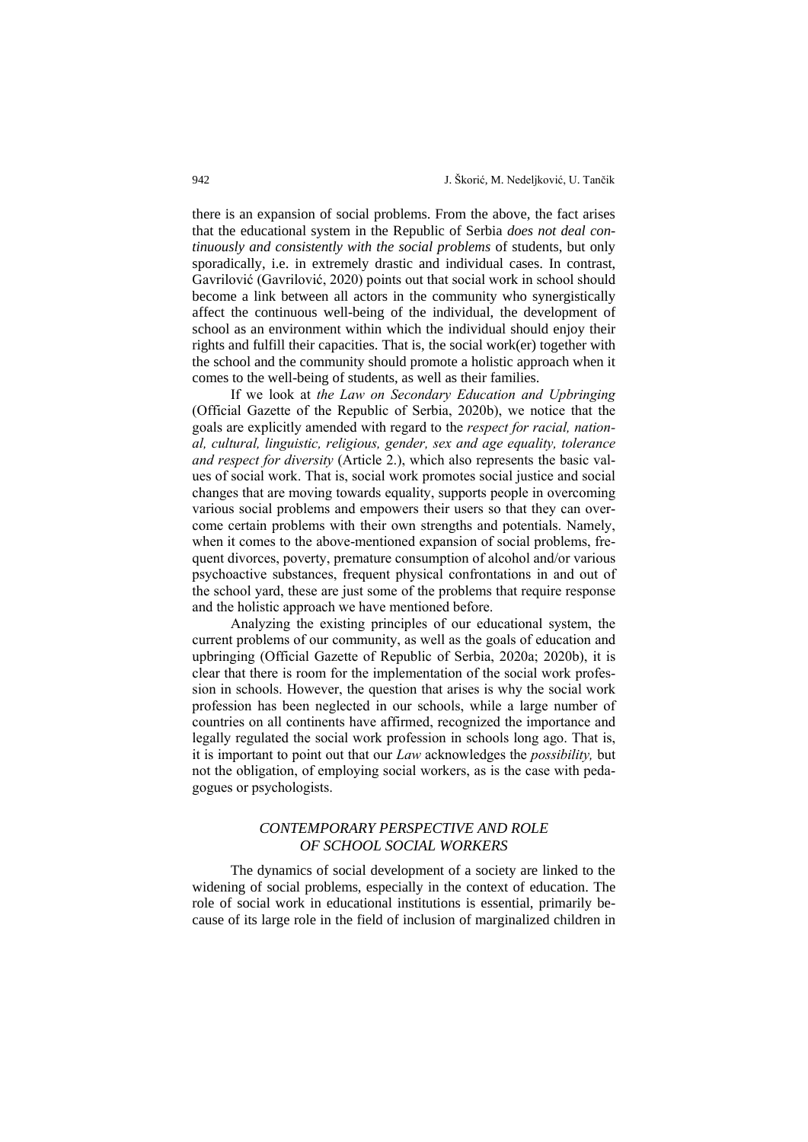there is an expansion of social problems. From the above, the fact arises that the educational system in the Republic of Serbia *does not deal continuously and consistently with the social problems* of students, but only sporadically, i.e. in extremely drastic and individual cases. In contrast, Gavrilović (Gavrilović, 2020) points out that social work in school should become a link between all actors in the community who synergistically affect the continuous well-being of the individual, the development of school as an environment within which the individual should enjoy their rights and fulfill their capacities. That is, the social work(er) together with the school and the community should promote a holistic approach when it comes to the well-being of students, as well as their families.

If we look at *the Law on Secondary Education and Upbringing*  (Official Gazette of the Republic of Serbia, 2020b), we notice that the goals are explicitly amended with regard to the *respect for racial, national, cultural, linguistic, religious, gender, sex and age equality, tolerance and respect for diversity* (Article 2.), which also represents the basic values of social work. That is, social work promotes social justice and social changes that are moving towards equality, supports people in overcoming various social problems and empowers their users so that they can overcome certain problems with their own strengths and potentials. Namely, when it comes to the above-mentioned expansion of social problems, frequent divorces, poverty, premature consumption of alcohol and/or various psychoactive substances, frequent physical confrontations in and out of the school yard, these are just some of the problems that require response and the holistic approach we have mentioned before.

Analyzing the existing principles of our educational system, the current problems of our community, as well as the goals of education and upbringing (Official Gazette of Republic of Serbia, 2020a; 2020b), it is clear that there is room for the implementation of the social work profession in schools. However, the question that arises is why the social work profession has been neglected in our schools, while a large number of countries on all continents have affirmed, recognized the importance and legally regulated the social work profession in schools long ago. That is, it is important to point out that our *Law* acknowledges the *possibility,* but not the obligation, of employing social workers, as is the case with pedagogues or psychologists.

## *CONTEMPORARY PERSPECTIVE AND ROLE OF SCHOOL SOCIAL WORKERS*

The dynamics of social development of a society are linked to the widening of social problems, especially in the context of education. The role of social work in educational institutions is essential, primarily because of its large role in the field of inclusion of marginalized children in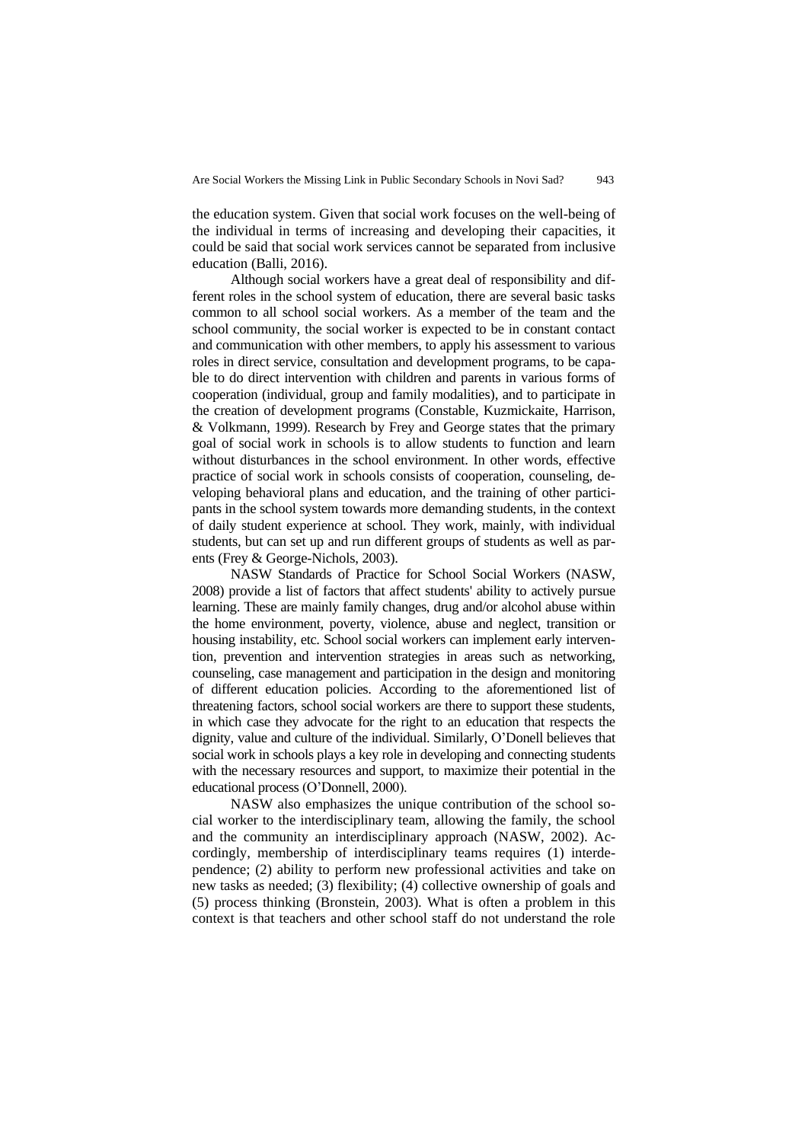the education system. Given that social work focuses on the well-being of the individual in terms of increasing and developing their capacities, it could be said that social work services cannot be separated from inclusive education (Balli, 2016).

Although social workers have a great deal of responsibility and different roles in the school system of education, there are several basic tasks common to all school social workers. As a member of the team and the school community, the social worker is expected to be in constant contact and communication with other members, to apply his assessment to various roles in direct service, consultation and development programs, to be capable to do direct intervention with children and parents in various forms of cooperation (individual, group and family modalities), and to participate in the creation of development programs (Constable, Kuzmickaite, Harrison, & Volkmann, 1999). Research by Frey and George states that the primary goal of social work in schools is to allow students to function and learn without disturbances in the school environment. In other words, effective practice of social work in schools consists of cooperation, counseling, developing behavioral plans and education, and the training of other participants in the school system towards more demanding students, in the context of daily student experience at school. They work, mainly, with individual students, but can set up and run different groups of students as well as parents (Frey & George-Nichols, 2003).

NASW Standards of Practice for School Social Workers (NASW, 2008) provide a list of factors that affect students' ability to actively pursue learning. These are mainly family changes, drug and/or alcohol abuse within the home environment, poverty, violence, abuse and neglect, transition or housing instability, etc. School social workers can implement early intervention, prevention and intervention strategies in areas such as networking, counseling, case management and participation in the design and monitoring of different education policies. According to the aforementioned list of threatening factors, school social workers are there to support these students, in which case they advocate for the right to an education that respects the dignity, value and culture of the individual. Similarly, O'Donell believes that social work in schools plays a key role in developing and connecting students with the necessary resources and support, to maximize their potential in the educational process (O'Donnell, 2000).

NASW also emphasizes the unique contribution of the school social worker to the interdisciplinary team, allowing the family, the school and the community an interdisciplinary approach (NASW, 2002). Accordingly, membership of interdisciplinary teams requires (1) interdependence; (2) ability to perform new professional activities and take on new tasks as needed; (3) flexibility; (4) collective ownership of goals and (5) process thinking (Bronstein, 2003). What is often a problem in this context is that teachers and other school staff do not understand the role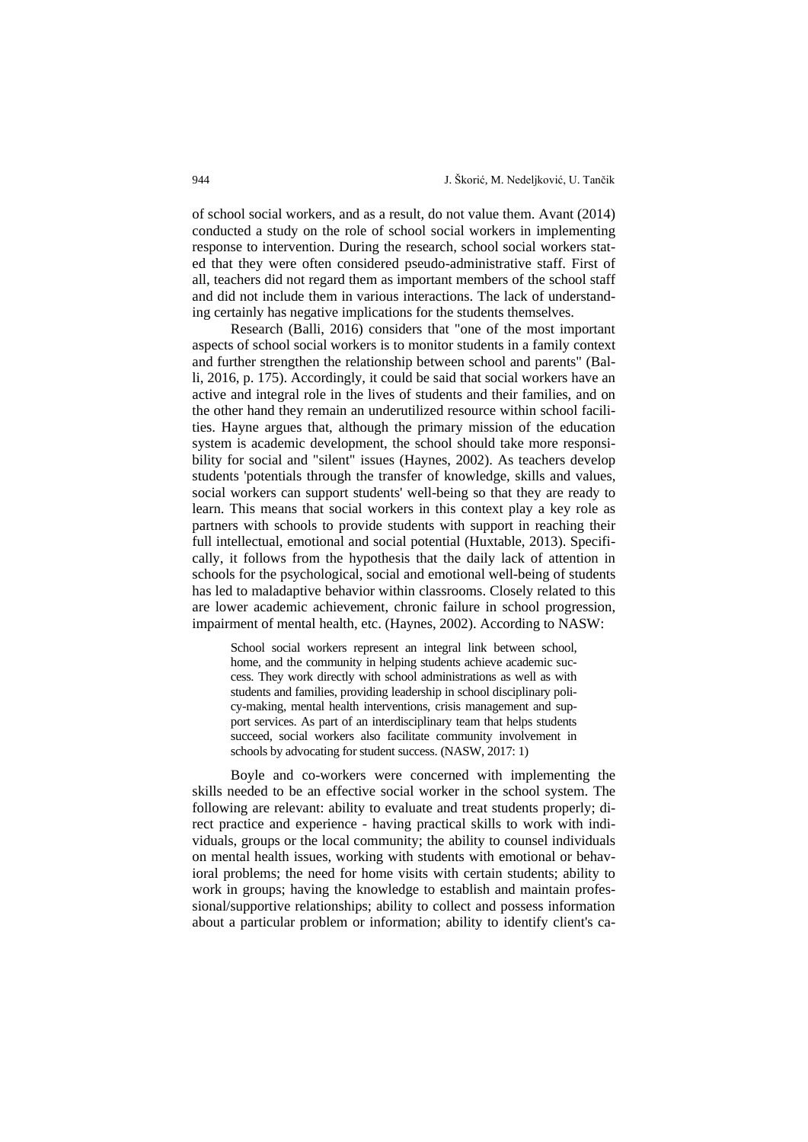of school social workers, and as a result, do not value them. Avant (2014) conducted a study on the role of school social workers in implementing response to intervention. During the research, school social workers stated that they were often considered pseudo-administrative staff. First of all, teachers did not regard them as important members of the school staff and did not include them in various interactions. The lack of understanding certainly has negative implications for the students themselves.

Research (Balli, 2016) considers that "one of the most important aspects of school social workers is to monitor students in a family context and further strengthen the relationship between school and parents" (Balli, 2016, p. 175). Accordingly, it could be said that social workers have an active and integral role in the lives of students and their families, and on the other hand they remain an underutilized resource within school facilities. Hayne argues that, although the primary mission of the education system is academic development, the school should take more responsibility for social and "silent" issues (Haynes, 2002). As teachers develop students 'potentials through the transfer of knowledge, skills and values, social workers can support students' well-being so that they are ready to learn. This means that social workers in this context play a key role as partners with schools to provide students with support in reaching their full intellectual, emotional and social potential (Huxtable, 2013). Specifically, it follows from the hypothesis that the daily lack of attention in schools for the psychological, social and emotional well-being of students has led to maladaptive behavior within classrooms. Closely related to this are lower academic achievement, chronic failure in school progression, impairment of mental health, etc. (Haynes, 2002). According to NASW:

School social workers represent an integral link between school, home, and the community in helping students achieve academic success. They work directly with school administrations as well as with students and families, providing leadership in school disciplinary policy-making, mental health interventions, crisis management and support services. As part of an interdisciplinary team that helps students succeed, social workers also facilitate community involvement in schools by advocating for student success. (NASW, 2017: 1)

Boyle and co-workers were concerned with implementing the skills needed to be an effective social worker in the school system. The following are relevant: ability to evaluate and treat students properly; direct practice and experience - having practical skills to work with individuals, groups or the local community; the ability to counsel individuals on mental health issues, working with students with emotional or behavioral problems; the need for home visits with certain students; ability to work in groups; having the knowledge to establish and maintain professional/supportive relationships; ability to collect and possess information about a particular problem or information; ability to identify client's ca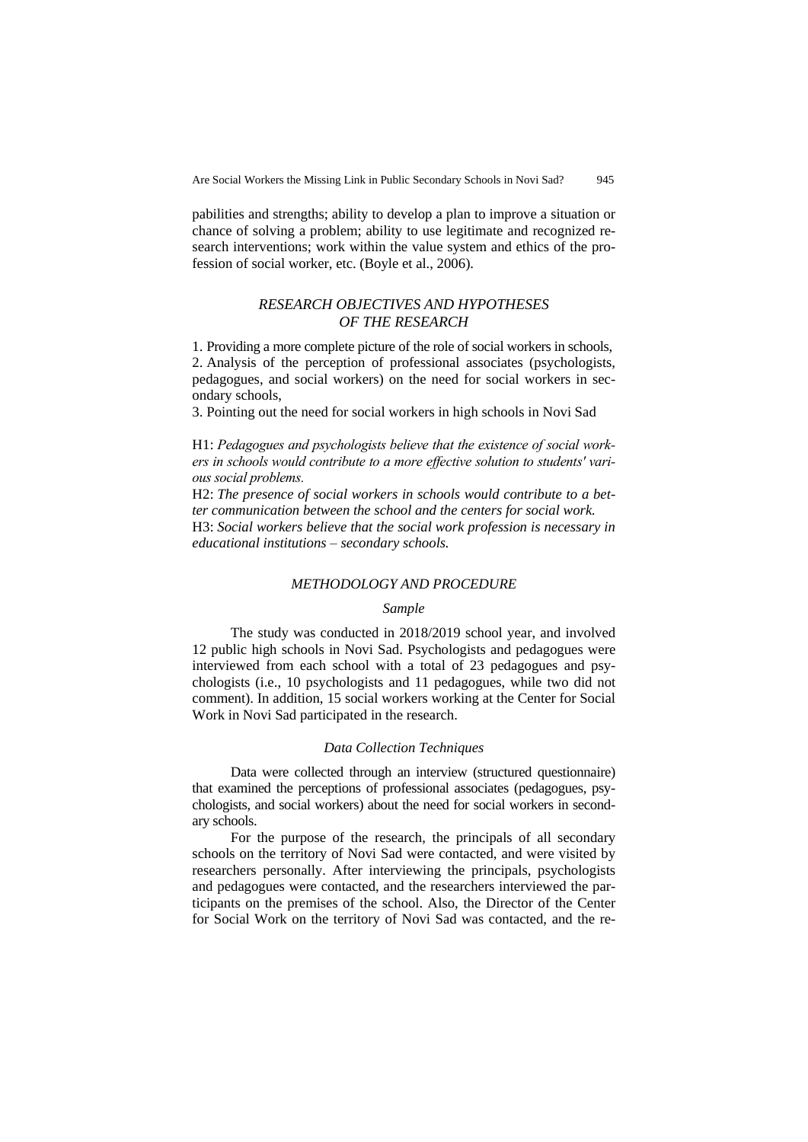pabilities and strengths; ability to develop a plan to improve a situation or chance of solving a problem; ability to use legitimate and recognized research interventions; work within the value system and ethics of the profession of social worker, etc. (Boyle et al., 2006).

# *RESEARCH OBJECTIVES AND HYPOTHESES OF THE RESEARCH*

1. Providing a more complete picture of the role of social workers in schools, 2. Analysis of the perception of professional associates (psychologists, pedagogues, and social workers) on the need for social workers in secondary schools,

3. Pointing out the need for social workers in high schools in Novi Sad

H1: *Pedagogues and psychologists believe that the existence of social workers in schools would contribute to a more effective solution to students' various social problems.*

H2: *The presence of social workers in schools would contribute to a better communication between the school and the centers for social work.* H3: *Social workers believe that the social work profession is necessary in educational institutions – secondary schools.*

#### *METHODOLOGY AND PROCEDURE*

#### *Sample*

The study was conducted in 2018/2019 school year, and involved 12 public high schools in Novi Sad. Psychologists and pedagogues were interviewed from each school with a total of 23 pedagogues and psychologists (i.e., 10 psychologists and 11 pedagogues, while two did not comment). In addition, 15 social workers working at the Center for Social Work in Novi Sad participated in the research.

#### *Data Collection Techniques*

Data were collected through an interview (structured questionnaire) that examined the perceptions of professional associates (pedagogues, psychologists, and social workers) about the need for social workers in secondary schools.

For the purpose of the research, the principals of all secondary schools on the territory of Novi Sad were contacted, and were visited by researchers personally. After interviewing the principals, psychologists and pedagogues were contacted, and the researchers interviewed the participants on the premises of the school. Also, the Director of the Center for Social Work on the territory of Novi Sad was contacted, and the re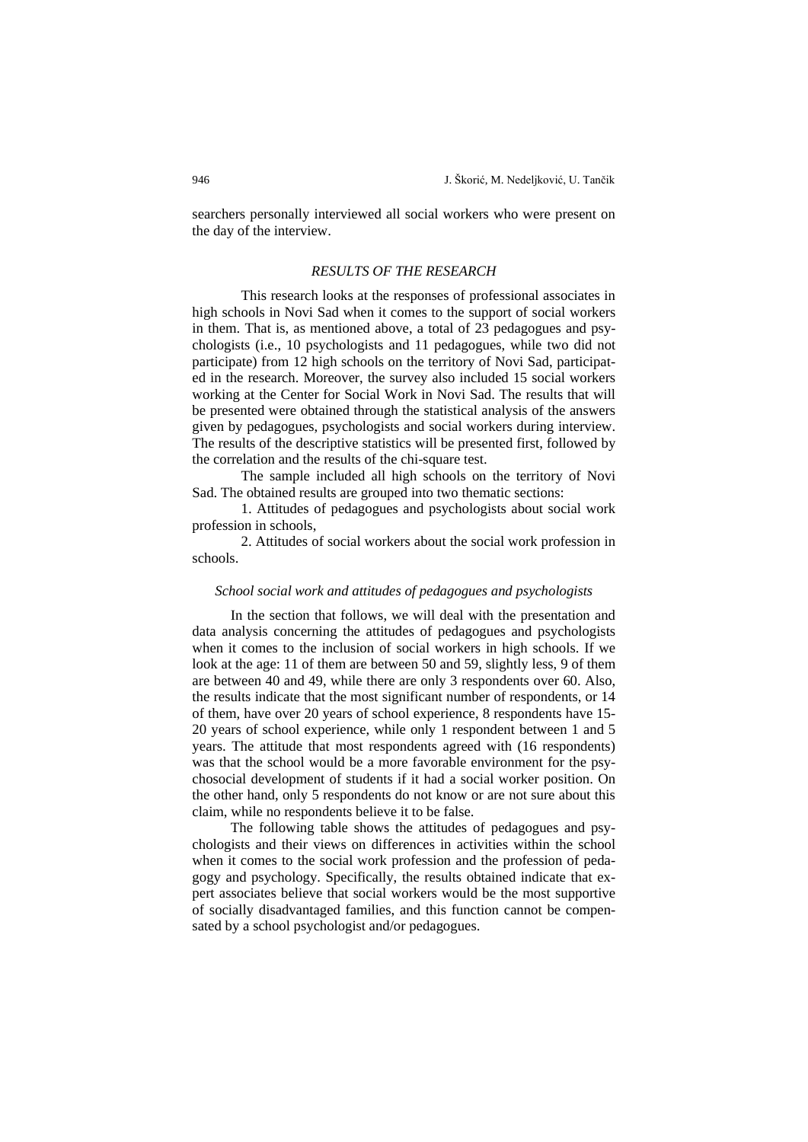searchers personally interviewed all social workers who were present on the day of the interview.

### *RESULTS OF THE RESEARCH*

This research looks at the responses of professional associates in high schools in Novi Sad when it comes to the support of social workers in them. That is, as mentioned above, a total of 23 pedagogues and psychologists (i.e., 10 psychologists and 11 pedagogues, while two did not participate) from 12 high schools on the territory of Novi Sad, participated in the research. Moreover, the survey also included 15 social workers working at the Center for Social Work in Novi Sad. The results that will be presented were obtained through the statistical analysis of the answers given by pedagogues, psychologists and social workers during interview. The results of the descriptive statistics will be presented first, followed by the correlation and the results of the chi-square test.

The sample included all high schools on the territory of Novi Sad. The obtained results are grouped into two thematic sections:

1. Attitudes of pedagogues and psychologists about social work profession in schools,

2. Attitudes of social workers about the social work profession in schools.

#### *School social work and attitudes of pedagogues and psychologists*

In the section that follows, we will deal with the presentation and data analysis concerning the attitudes of pedagogues and psychologists when it comes to the inclusion of social workers in high schools. If we look at the age: 11 of them are between 50 and 59, slightly less, 9 of them are between 40 and 49, while there are only 3 respondents over 60. Also, the results indicate that the most significant number of respondents, or 14 of them, have over 20 years of school experience, 8 respondents have 15- 20 years of school experience, while only 1 respondent between 1 and 5 years. The attitude that most respondents agreed with (16 respondents) was that the school would be a more favorable environment for the psychosocial development of students if it had a social worker position. On the other hand, only 5 respondents do not know or are not sure about this claim, while no respondents believe it to be false.

The following table shows the attitudes of pedagogues and psychologists and their views on differences in activities within the school when it comes to the social work profession and the profession of pedagogy and psychology. Specifically, the results obtained indicate that expert associates believe that social workers would be the most supportive of socially disadvantaged families, and this function cannot be compensated by a school psychologist and/or pedagogues.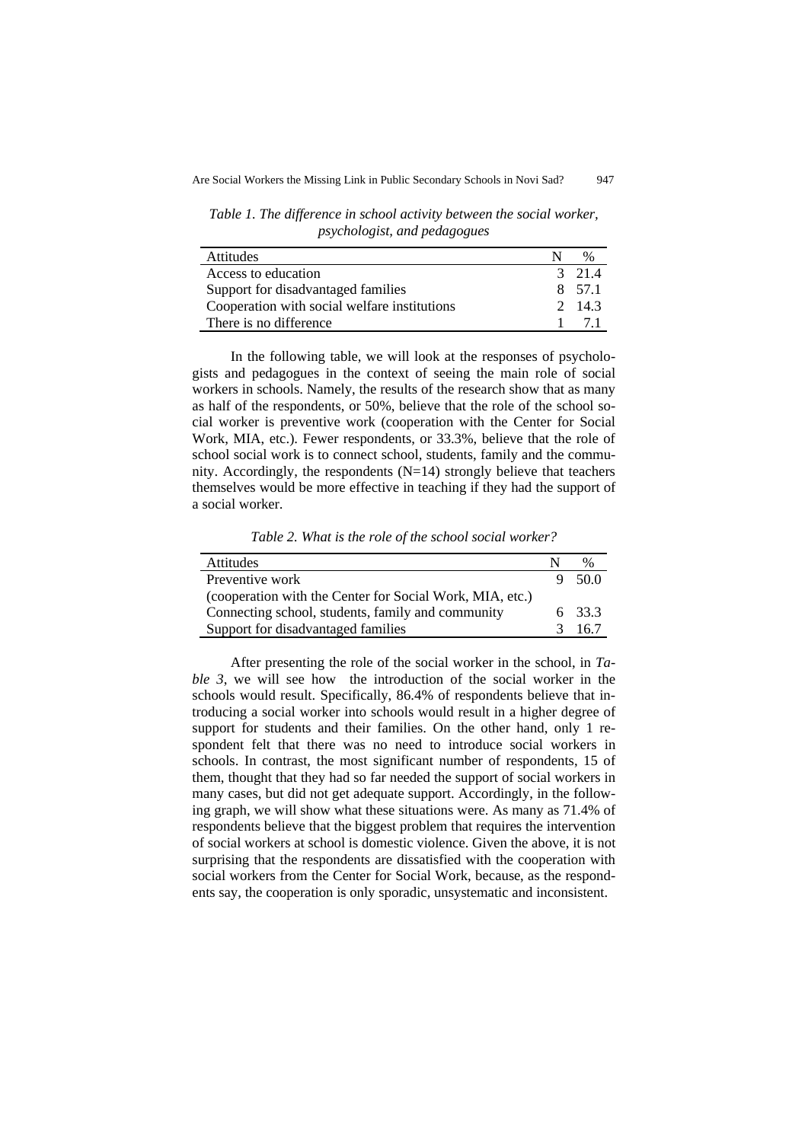*Table 1. The difference in school activity between the social worker, psychologist, and pedagogues*

| <b>Attitudes</b>                             | $\frac{0}{0}$  |
|----------------------------------------------|----------------|
| Access to education                          | $3 \quad 21.4$ |
| Support for disadvantaged families           | 8 57.1         |
| Cooperation with social welfare institutions | 2 143          |
| There is no difference.                      | 71             |

In the following table, we will look at the responses of psychologists and pedagogues in the context of seeing the main role of social workers in schools. Namely, the results of the research show that as many as half of the respondents, or 50%, believe that the role of the school social worker is preventive work (cooperation with the Center for Social Work, MIA, etc.). Fewer respondents, or 33.3%, believe that the role of school social work is to connect school, students, family and the community. Accordingly, the respondents  $(N=14)$  strongly believe that teachers themselves would be more effective in teaching if they had the support of a social worker.

*Table 2. What is the role of the school social worker?*

| Attitudes                                                |               | $\%$   |
|----------------------------------------------------------|---------------|--------|
| Preventive work                                          |               | 50.0   |
| (cooperation with the Center for Social Work, MIA, etc.) |               |        |
| Connecting school, students, family and community        |               | 6 33.3 |
| Support for disadvantaged families                       | $\mathcal{R}$ | 167    |

After presenting the role of the social worker in the school, in *Table 3*, we will see how the introduction of the social worker in the schools would result. Specifically, 86.4% of respondents believe that introducing a social worker into schools would result in a higher degree of support for students and their families. On the other hand, only 1 respondent felt that there was no need to introduce social workers in schools. In contrast, the most significant number of respondents, 15 of them, thought that they had so far needed the support of social workers in many cases, but did not get adequate support. Accordingly, in the following graph, we will show what these situations were. As many as 71.4% of respondents believe that the biggest problem that requires the intervention of social workers at school is domestic violence. Given the above, it is not surprising that the respondents are dissatisfied with the cooperation with social workers from the Center for Social Work, because, as the respondents say, the cooperation is only sporadic, unsystematic and inconsistent.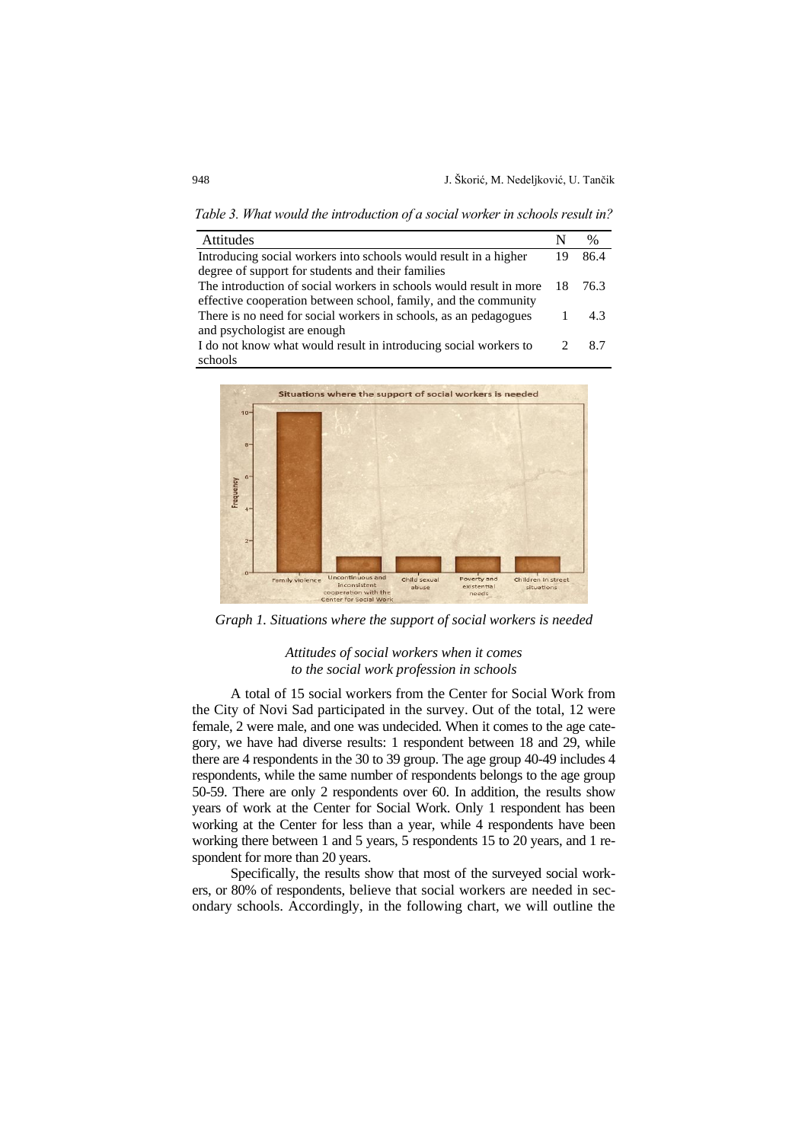Attitudes N % Introducing social workers into schools would result in a higher degree of support for students and their families 19 86.4 The introduction of social workers in schools would result in more effective cooperation between school, family, and the community 18 76.3 There is no need for social workers in schools, as an pedagogues and psychologist are enough 1 4.3 I do not know what would result in introducing social workers to schools 2 8.7

*Table 3. What would the introduction of a social worker in schools result in?*

Situations where the support of social workers is needed 11 Frequency Poverty a **Family violence** Child sexual Children in street  $inc$ abuse existential situations with the Center for Social Wor

*Graph 1. Situations where the support of social workers is needed*

### *Attitudes of social workers when it comes to the social work profession in schools*

A total of 15 social workers from the Center for Social Work from the City of Novi Sad participated in the survey. Out of the total, 12 were female, 2 were male, and one was undecided. When it comes to the age category, we have had diverse results: 1 respondent between 18 and 29, while there are 4 respondents in the 30 to 39 group. The age group 40-49 includes 4 respondents, while the same number of respondents belongs to the age group 50-59. There are only 2 respondents over 60. In addition, the results show years of work at the Center for Social Work. Only 1 respondent has been working at the Center for less than a year, while 4 respondents have been working there between 1 and 5 years, 5 respondents 15 to 20 years, and 1 respondent for more than 20 years.

Specifically, the results show that most of the surveyed social workers, or 80% of respondents, believe that social workers are needed in secondary schools. Accordingly, in the following chart, we will outline the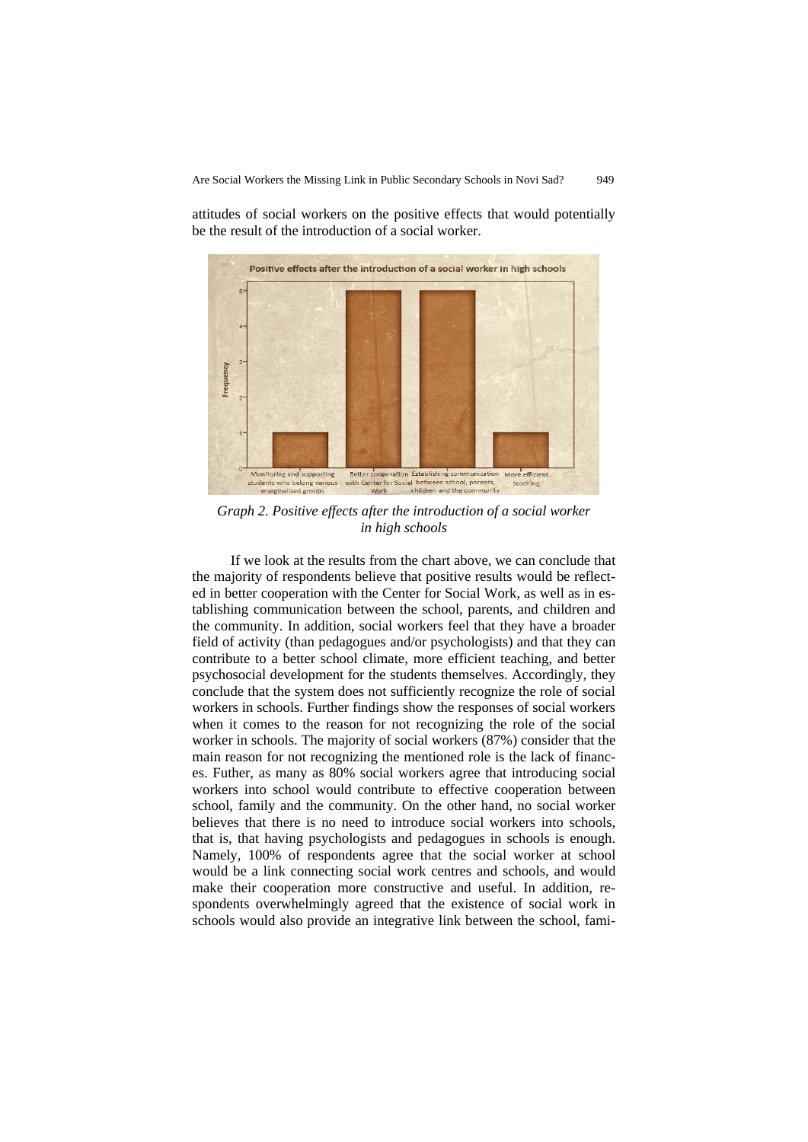Positive effects after the introduction of a social worker in high schools Frequency More efficien Better cooperation Establishing communication toring and supporting ial betwee ol, parents

attitudes of social workers on the positive effects that would potentially be the result of the introduction of a social worker.

*Graph 2. Positive effects after the introduction of a social worker in high schools*

If we look at the results from the chart above, we can conclude that the majority of respondents believe that positive results would be reflected in better cooperation with the Center for Social Work, as well as in establishing communication between the school, parents, and children and the community. In addition, social workers feel that they have a broader field of activity (than pedagogues and/or psychologists) and that they can contribute to a better school climate, more efficient teaching, and better psychosocial development for the students themselves. Accordingly, they conclude that the system does not sufficiently recognize the role of social workers in schools. Further findings show the responses of social workers when it comes to the reason for not recognizing the role of the social worker in schools. The majority of social workers (87%) consider that the main reason for not recognizing the mentioned role is the lack of finances. Futher, as many as 80% social workers agree that introducing social workers into school would contribute to effective cooperation between school, family and the community. On the other hand, no social worker believes that there is no need to introduce social workers into schools, that is, that having psychologists and pedagogues in schools is enough. Namely, 100% of respondents agree that the social worker at school would be a link connecting social work centres and schools, and would make their cooperation more constructive and useful. In addition, respondents overwhelmingly agreed that the existence of social work in schools would also provide an integrative link between the school, fami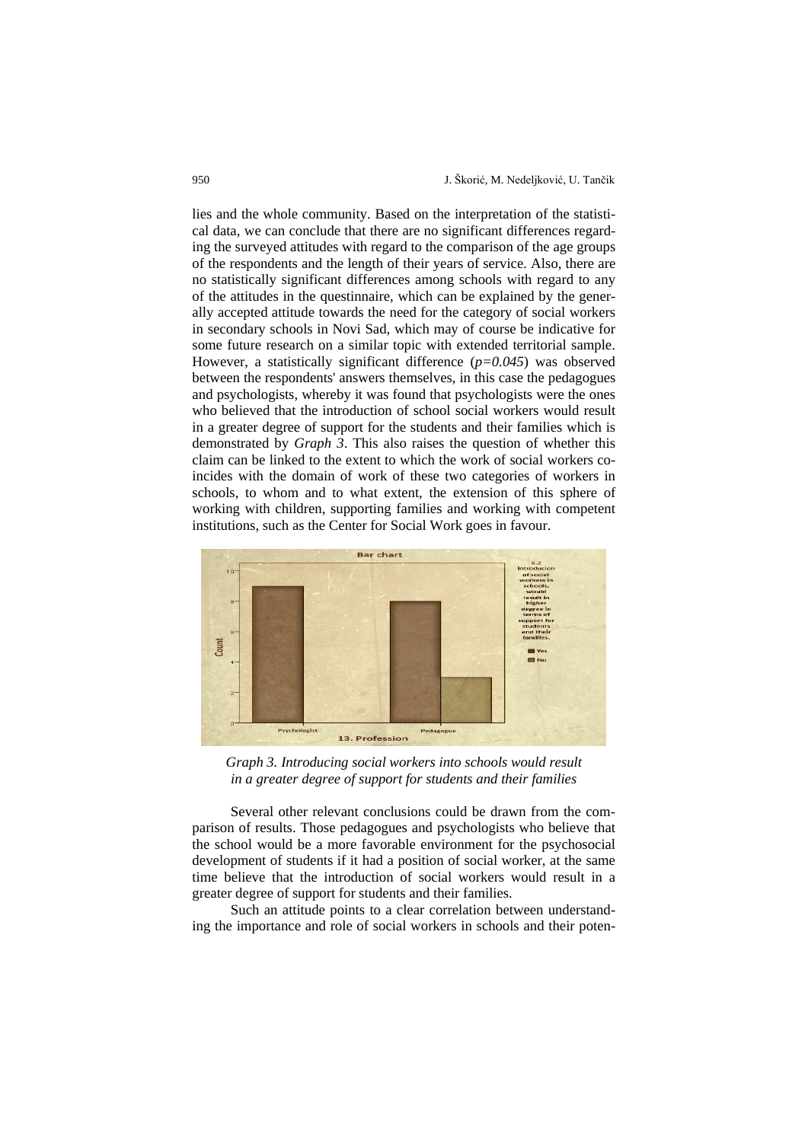lies and the whole community. Based on the interpretation of the statistical data, we can conclude that there are no significant differences regarding the surveyed attitudes with regard to the comparison of the age groups of the respondents and the length of their years of service. Also, there are no statistically significant differences among schools with regard to any of the attitudes in the questinnaire, which can be explained by the generally accepted attitude towards the need for the category of social workers in secondary schools in Novi Sad, which may of course be indicative for some future research on a similar topic with extended territorial sample. However, a statistically significant difference (*p=0.045*) was observed between the respondents' answers themselves, in this case the pedagogues and psychologists, whereby it was found that psychologists were the ones who believed that the introduction of school social workers would result in a greater degree of support for the students and their families which is demonstrated by *Graph 3*. This also raises the question of whether this claim can be linked to the extent to which the work of social workers coincides with the domain of work of these two categories of workers in schools, to whom and to what extent, the extension of this sphere of working with children, supporting families and working with competent institutions, such as the Center for Social Work goes in favour.



*Graph 3. Introducing social workers into schools would result in a greater degree of support for students and their families*

Several other relevant conclusions could be drawn from the comparison of results. Those pedagogues and psychologists who believe that the school would be a more favorable environment for the psychosocial development of students if it had a position of social worker, at the same time believe that the introduction of social workers would result in a greater degree of support for students and their families.

Such an attitude points to a clear correlation between understanding the importance and role of social workers in schools and their poten-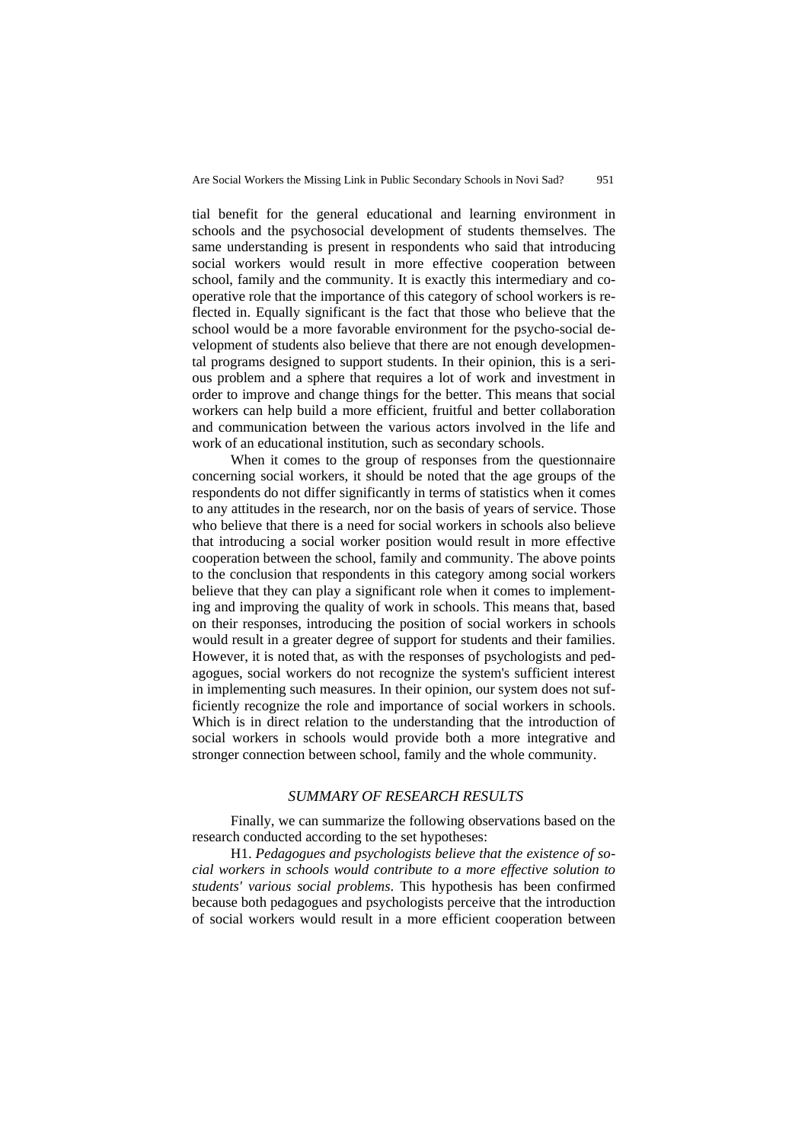tial benefit for the general educational and learning environment in schools and the psychosocial development of students themselves. The same understanding is present in respondents who said that introducing social workers would result in more effective cooperation between school, family and the community. It is exactly this intermediary and cooperative role that the importance of this category of school workers is reflected in. Equally significant is the fact that those who believe that the school would be a more favorable environment for the psycho-social development of students also believe that there are not enough developmental programs designed to support students. In their opinion, this is a serious problem and a sphere that requires a lot of work and investment in order to improve and change things for the better. This means that social workers can help build a more efficient, fruitful and better collaboration and communication between the various actors involved in the life and work of an educational institution, such as secondary schools.

When it comes to the group of responses from the questionnaire concerning social workers, it should be noted that the age groups of the respondents do not differ significantly in terms of statistics when it comes to any attitudes in the research, nor on the basis of years of service. Those who believe that there is a need for social workers in schools also believe that introducing a social worker position would result in more effective cooperation between the school, family and community. The above points to the conclusion that respondents in this category among social workers believe that they can play a significant role when it comes to implementing and improving the quality of work in schools. This means that, based on their responses, introducing the position of social workers in schools would result in a greater degree of support for students and their families. However, it is noted that, as with the responses of psychologists and pedagogues, social workers do not recognize the system's sufficient interest in implementing such measures. In their opinion, our system does not sufficiently recognize the role and importance of social workers in schools. Which is in direct relation to the understanding that the introduction of social workers in schools would provide both a more integrative and stronger connection between school, family and the whole community.

### *SUMMARY OF RESEARCH RESULTS*

Finally, we can summarize the following observations based on the research conducted according to the set hypotheses:

H1. *Pedagogues and psychologists believe that the existence of social workers in schools would contribute to a more effective solution to students' various social problems*. This hypothesis has been confirmed because both pedagogues and psychologists perceive that the introduction of social workers would result in a more efficient cooperation between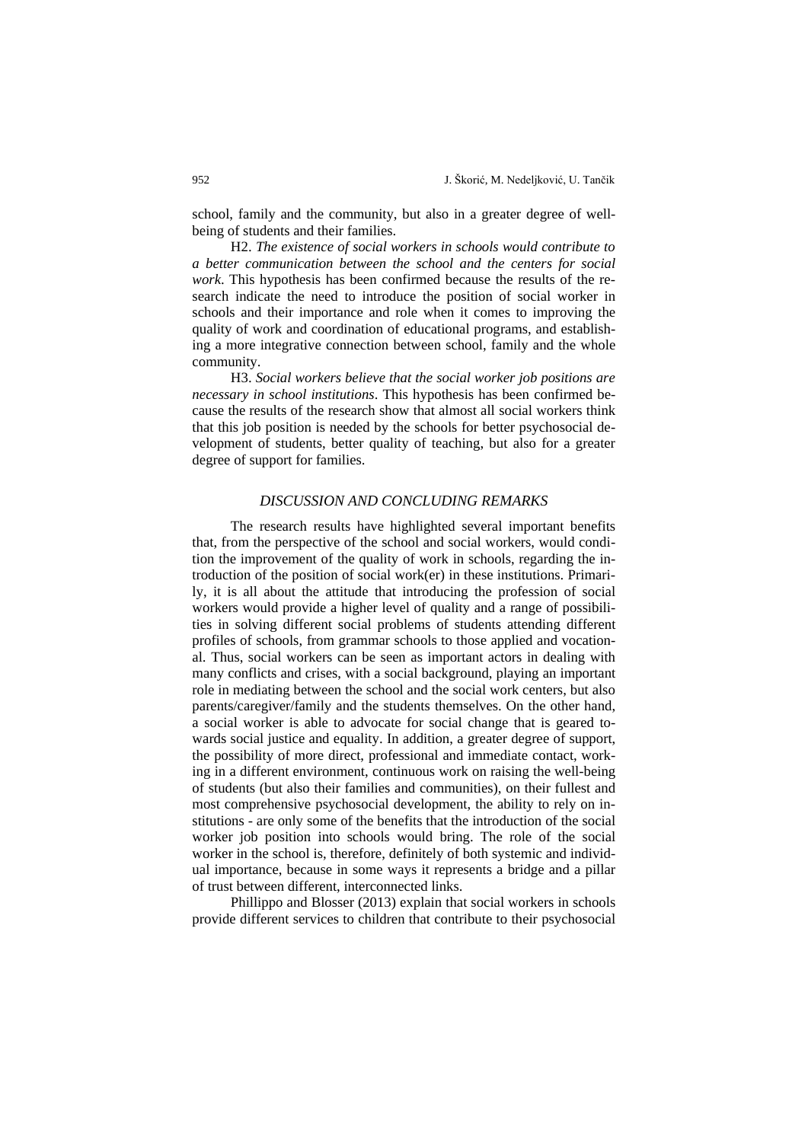school, family and the community, but also in a greater degree of wellbeing of students and their families.

H2. *The existence of social workers in schools would contribute to a better communication between the school and the centers for social work*. This hypothesis has been confirmed because the results of the research indicate the need to introduce the position of social worker in schools and their importance and role when it comes to improving the quality of work and coordination of educational programs, and establishing a more integrative connection between school, family and the whole community.

H3. *Social workers believe that the social worker job positions are necessary in school institutions*. This hypothesis has been confirmed because the results of the research show that almost all social workers think that this job position is needed by the schools for better psychosocial development of students, better quality of teaching, but also for a greater degree of support for families.

#### *DISCUSSION AND CONCLUDING REMARKS*

The research results have highlighted several important benefits that, from the perspective of the school and social workers, would condition the improvement of the quality of work in schools, regarding the introduction of the position of social work(er) in these institutions. Primarily, it is all about the attitude that introducing the profession of social workers would provide a higher level of quality and a range of possibilities in solving different social problems of students attending different profiles of schools, from grammar schools to those applied and vocational. Thus, social workers can be seen as important actors in dealing with many conflicts and crises, with a social background, playing an important role in mediating between the school and the social work centers, but also parents/caregiver/family and the students themselves. On the other hand, a social worker is able to advocate for social change that is geared towards social justice and equality. In addition, a greater degree of support, the possibility of more direct, professional and immediate contact, working in a different environment, continuous work on raising the well-being of students (but also their families and communities), on their fullest and most comprehensive psychosocial development, the ability to rely on institutions - are only some of the benefits that the introduction of the social worker job position into schools would bring. The role of the social worker in the school is, therefore, definitely of both systemic and individual importance, because in some ways it represents a bridge and a pillar of trust between different, interconnected links.

Phillippo and Blosser (2013) explain that social workers in schools provide different services to children that contribute to their psychosocial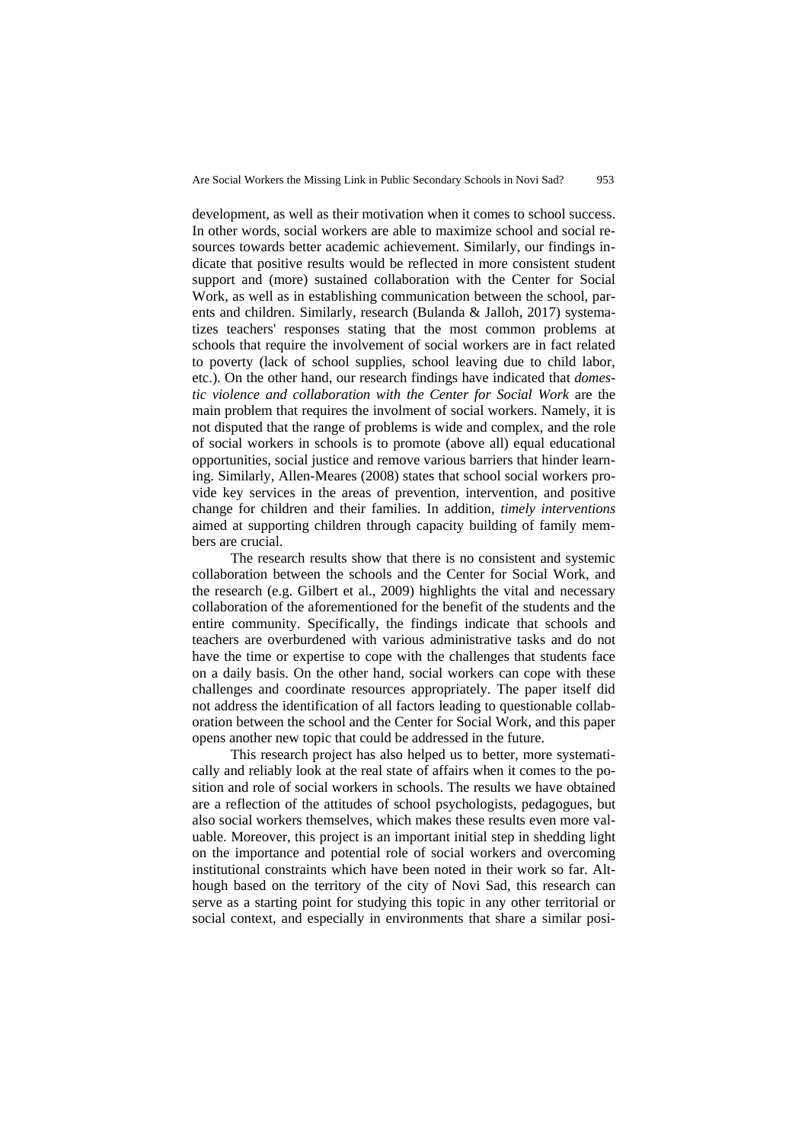development, as well as their motivation when it comes to school success. In other words, social workers are able to maximize school and social resources towards better academic achievement. Similarly, our findings indicate that positive results would be reflected in more consistent student support and (more) sustained collaboration with the Center for Social Work, as well as in establishing communication between the school, parents and children. Similarly, research (Bulanda & Jalloh, 2017) systematizes teachers' responses stating that the most common problems at schools that require the involvement of social workers are in fact related to poverty (lack of school supplies, school leaving due to child labor, etc.). On the other hand, our research findings have indicated that *domestic violence and collaboration with the Center for Social Work* are the main problem that requires the involment of social workers. Namely, it is not disputed that the range of problems is wide and complex, and the role of social workers in schools is to promote (above all) equal educational opportunities, social justice and remove various barriers that hinder learning. Similarly, Allen-Meares (2008) states that school social workers provide key services in the areas of prevention, intervention, and positive change for children and their families. In addition, *timely interventions* aimed at supporting children through capacity building of family members are crucial.

The research results show that there is no consistent and systemic collaboration between the schools and the Center for Social Work, and the research (e.g. Gilbert et al., 2009) highlights the vital and necessary collaboration of the aforementioned for the benefit of the students and the entire community. Specifically, the findings indicate that schools and teachers are overburdened with various administrative tasks and do not have the time or expertise to cope with the challenges that students face on a daily basis. On the other hand, social workers can cope with these challenges and coordinate resources appropriately. The paper itself did not address the identification of all factors leading to questionable collaboration between the school and the Center for Social Work, and this paper opens another new topic that could be addressed in the future.

This research project has also helped us to better, more systematically and reliably look at the real state of affairs when it comes to the position and role of social workers in schools. The results we have obtained are a reflection of the attitudes of school psychologists, pedagogues, but also social workers themselves, which makes these results even more valuable. Moreover, this project is an important initial step in shedding light on the importance and potential role of social workers and overcoming institutional constraints which have been noted in their work so far. Although based on the territory of the city of Novi Sad, this research can serve as a starting point for studying this topic in any other territorial or social context, and especially in environments that share a similar posi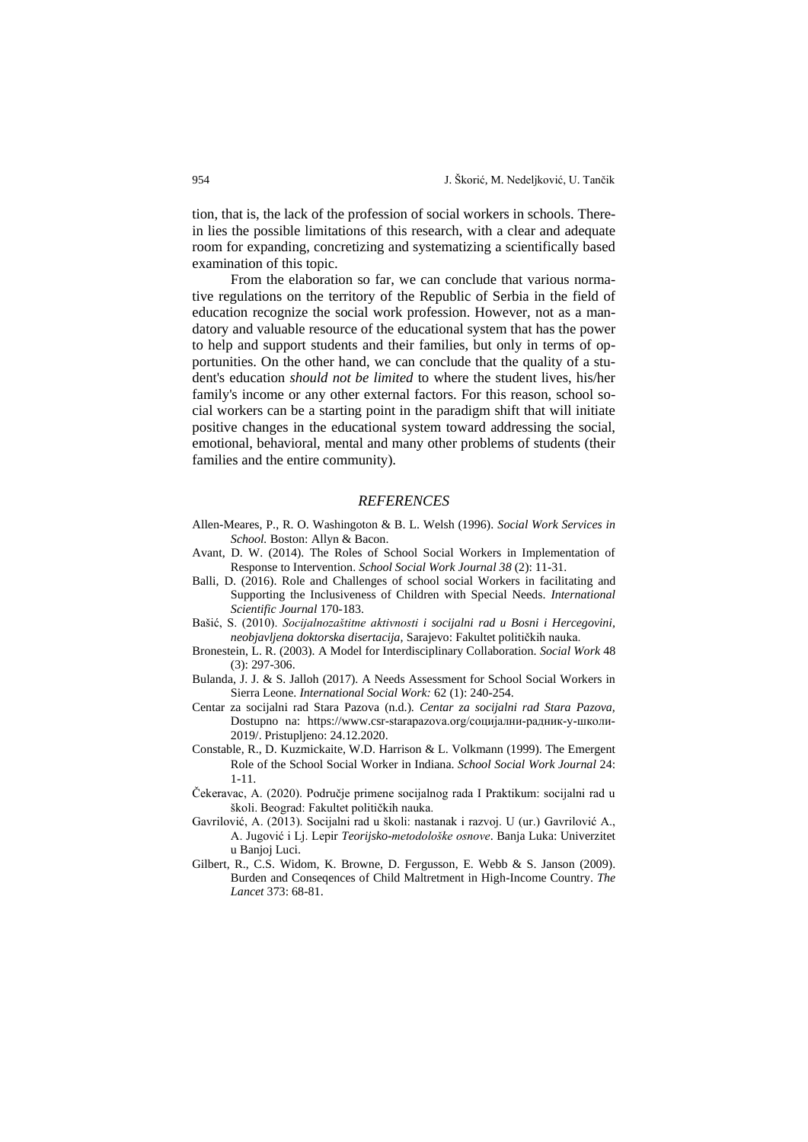tion, that is, the lack of the profession of social workers in schools. Therein lies the possible limitations of this research, with a clear and adequate room for expanding, concretizing and systematizing a scientifically based examination of this topic.

From the elaboration so far, we can conclude that various normative regulations on the territory of the Republic of Serbia in the field of education recognize the social work profession. However, not as a mandatory and valuable resource of the educational system that has the power to help and support students and their families, but only in terms of opportunities. On the other hand, we can conclude that the quality of a student's education *should not be limited* to where the student lives, his/her family's income or any other external factors. For this reason, school social workers can be a starting point in the paradigm shift that will initiate positive changes in the educational system toward addressing the social, emotional, behavioral, mental and many other problems of students (their families and the entire community).

#### *REFERENCES*

- Allen-Meares, P., R. O. Washingoton & B. L. Welsh (1996). *Social Work Services in School.* Boston: Allyn & Bacon.
- Avant, D. W. (2014). The Roles of School Social Workers in Implementation of Response to Intervention. *School Social Work Journal 38* (2): 11-31.
- Balli, D. (2016). Role and Challenges of school social Workers in facilitating and Supporting the Inclusiveness of Children with Special Needs. *International Scientific Journal* 170-183.
- Bašić, S. (2010). *Socijalnozaštitne aktivnosti i socijalni rad u Bosni i Hercegovini, neobjavljena doktorska disertacija,* Sarajevo: Fakultet političkih nauka.
- Bronestein, L. R. (2003). A Model for Interdisciplinary Collaboration. *Social Work* 48 (3): 297-306.
- Bulanda, J. J. & S. Jalloh (2017). A Needs Assessment for School Social Workers in Sierra Leone. *International Social Work:* 62 (1): 240-254.
- Centar za socijalni rad Stara Pazova (n.d.). *Centar za socijalni rad Stara Pazova,*  Dostupno na: [https://www.csr-starapazova.org/социјални-радник-у-школи-](https://www.csr-starapazova.org/социјални-радник-у-школи-2019/)[2019/.](https://www.csr-starapazova.org/социјални-радник-у-школи-2019/) Pristupljeno: 24.12.2020.
- Constable, R., D. Kuzmickaite, W.D. Harrison & L. Volkmann (1999). The Emergent Role of the School Social Worker in Indiana. *School Social Work Journal* 24: 1-11.
- Čekeravac, A. (2020). Područje primene socijalnog rada I Praktikum: socijalni rad u školi. Beograd: Fakultet političkih nauka.
- Gavrilović, A. (2013). Socijalni rad u školi: nastanak i razvoj. U (ur.) Gavrilović A., A. Jugović i Lj. Lepir *Teorijsko-metodološke osnove*. Banja Luka: Univerzitet u Banjoj Luci.
- Gilbert, R., C.S. Widom, K. Browne, D. Fergusson, E. Webb & S. Janson (2009). Burden and Conseqences of Child Maltretment in High-Income Country. *The Lancet* 373: 68-81.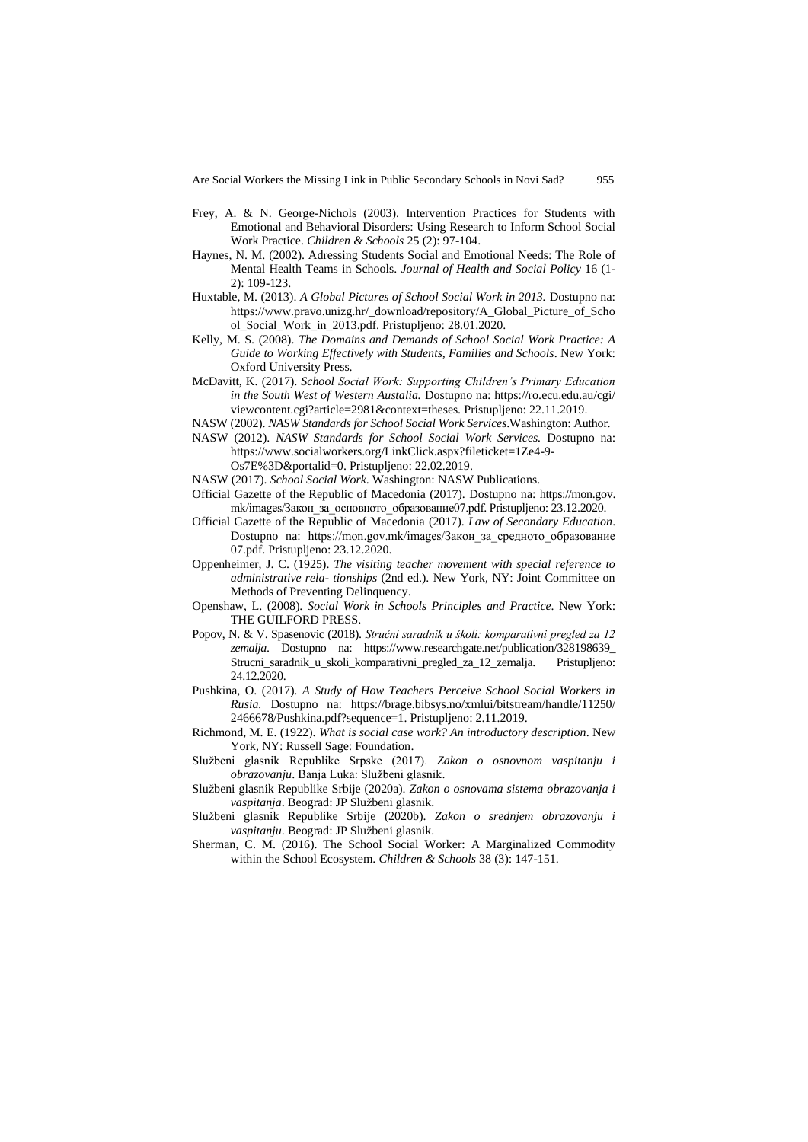- Frey, A. & N. George-Nichols (2003). Intervention Practices for Students with Emotional and Behavioral Disorders: Using Research to Inform School Social Work Practice. *Children & Schools* 25 (2): 97-104.
- Haynes, N. M. (2002). Adressing Students Social and Emotional Needs: The Role of Mental Health Teams in Schools. *Journal of Health and Social Policy* 16 (1- 2): 109-123.
- Huxtable, M. (2013). *A Global Pictures of School Social Work in 2013.* Dostupno na: [https://www.pravo.unizg.hr/\\_download/repository/A\\_Global\\_Picture\\_of\\_Scho](https://www.pravo.unizg.hr/_download/repository/A_Global_Picture_of_School_Social_Work_in_2013.pdf) [ol\\_Social\\_Work\\_in\\_2013.pdf.](https://www.pravo.unizg.hr/_download/repository/A_Global_Picture_of_School_Social_Work_in_2013.pdf) Pristupljeno: 28.01.2020.
- Kelly, M. S. (2008). *The Domains and Demands of School Social Work Practice: A Guide to Working Effectively with Students, Families and Schools*. New York: Oxford University Press.
- McDavitt, K. (2017). *School Social Work: Supporting Children's Primary Education in the South West of Western Austalia.* Dostupno na: [https://ro.ecu.edu.au/cgi/](https://ro.ecu.edu.au/cgi/viewcontent.cgi?article=2981&context=theses) [viewcontent.cgi?article=2981&context=theses.](https://ro.ecu.edu.au/cgi/viewcontent.cgi?article=2981&context=theses) Pristupljeno: 22.11.2019.
- NASW (2002). *NASW Standards for School Social Work Services*.Washington: Author.
- NASW (2012). *NASW Standards for School Social Work Services.* Dostupno na: [https://www.socialworkers.org/LinkClick.aspx?fileticket=1Ze4-9-](https://www.socialworkers.org/LinkClick.aspx?fileticket=1Ze4-9-Os7E%3D&portalid=0) [Os7E%3D&portalid=0.](https://www.socialworkers.org/LinkClick.aspx?fileticket=1Ze4-9-Os7E%3D&portalid=0) Pristupljeno: 22.02.2019.
- NASW (2017). *School Social Work*. Washington: NASW Publications.
- Official Gazette of the Republic of Macedonia (2017). Dostupno na: [https://mon.gov.](https://mon.gov.mk/images/Закон_за_основното_образование07.pdf) [mk/images/Закон\\_за\\_основното\\_образование07.pdf.](https://mon.gov.mk/images/Закон_за_основното_образование07.pdf) Pristupljeno: 23.12.2020.
- Official Gazette of the Republic of Macedonia (2017). *Law of Secondary Education*. Dostupno na: https://mon.gov.mk/images/Закон\_за\_средното\_образование 07.pdf. Pristupljeno: 23.12.2020.
- Oppenheimer, J. C. (1925). *The visiting teacher movement with special reference to administrative rela- tionships* (2nd ed.). New York, NY: Joint Committee on Methods of Preventing Delinquency.
- Openshaw, L. (2008). *Social Work in Schools Principles and Practice*. New York: THE GUILFORD PRESS.
- Popov, N. & V. Spasenovic (2018). *Stručni saradnik u školi: komparativni pregled za 12 zemalja*. Dostupno na: [https://www.researchgate.net/publication/328198639\\_](https://www.researchgate.net/publication/328198639_Strucni_saradnik_u_skoli_komparativni_pregled_za_12_zemalja) Strucni saradnik u skoli komparativni pregled za 12 zemalja. Pristupljeno: 24.12.2020.
- Pushkina, O. (2017). *A Study of How Teachers Perceive School Social Workers in Rusia.* Dostupno na: [https://brage.bibsys.no/xmlui/bitstream/handle/11250/](https://brage.bibsys.no/xmlui/bitstream/handle/11250/2466678/Pushkina.pdf?sequence=1) [2466678/Pushkina.pdf?sequence=1.](https://brage.bibsys.no/xmlui/bitstream/handle/11250/2466678/Pushkina.pdf?sequence=1) Pristupljeno: 2.11.2019.
- Richmond, M. E. (1922). *What is social case work? An introductory description*. New York, NY: Russell Sage: Foundation.
- Službeni glasnik Republike Srpske (2017). *Zakon o osnovnom vaspitanju i obrazovanju*. Banja Luka: Službeni glasnik.
- Službeni glasnik Republike Srbije (2020a). *Zakon o osnovama sistema obrazovanja i vaspitanja*. Beograd: JP Službeni glasnik.
- Službeni glasnik Republike Srbije (2020b). *Zakon o srednjem obrazovanju i vaspitanju*. Beograd: JP Službeni glasnik.
- Sherman, C. M. (2016). The School Social Worker: A Marginalized Commodity within the School Ecosystem. *Children & Schools* 38 (3): 147-151.